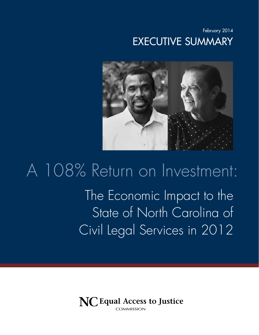February 2014 Executive Summary



# The Economic Impact to the State of North Carolina of Civil Legal Services in 2012 A 108% Return on Investment:

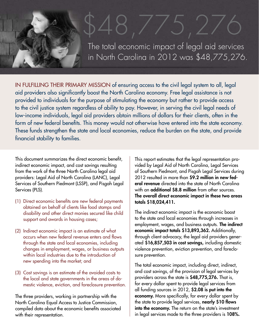# \$48,775,276 The total economic impact of legal aid services in North Carolina in 2012 was \$48,775,276.

IN FULFILLING THEIR PRIMARY MISSION of ensuring access to the civil legal system to all, legal aid providers also significantly boost the North Carolina economy. Free legal assistance is not provided to individuals for the purpose of stimulating the economy but rather to provide access to the civil justice system regardless of ability to pay. However, in serving the civil legal needs of low-income individuals, legal aid providers obtain millions of dollars for their clients, often in the form of new federal benefits. This money would not otherwise have entered into the state economy. These funds strengthen the state and local economies, reduce the burden on the state, and provide financial stability to families.

This document summarizes the direct economic benefit, indirect economic impact, and cost savings resulting from the work of the three North Carolina legal aid providers: Legal Aid of North Carolina (LANC), Legal Services of Southern Piedmont (LSSP), and Pisgah Legal Services (PLS).

- (1) Direct economic benefits are new federal payments obtained on behalf of clients like food stamps and disability and other direct monies secured like child support and awards in housing cases;
- (2) Indirect economic impact is an estimate of what occurs when new federal revenue enters and flows through the state and local economies, including changes in employment, wages, or business outputs within local industries due to the introduction of new spending into the market; and
- (3) Cost savings is an estimate of the avoided costs to the local and state governments in the areas of domestic violence, eviction, and foreclosure prevention.

The three providers, working in partnership with the North Carolina Equal Access to Justice Commission, compiled data about the economic benefits associated with their representation.

This report estimates that the legal representation provided by Legal Aid of North Carolina, Legal Services of Southern Piedmont, and Pisgah Legal Services during 2012 resulted in more than \$9.2 million in new federal revenue directed into the state of North Carolina with an **additional \$8.8 million** from other sources. The overall direct economic impact in these two areas totals \$18,024,411.

The indirect economic impact is the economic boost to the state and local economies through increases in employment, wages, and business outputs. The indirect economic impact totals \$13,893,362. Additionally, through client advocacy, the legal aid providers generated \$16,857,503 in cost savings, including domestic violence prevention, eviction prevention, and foreclosure prevention.

The total economic impact, including direct, indirect, and cost savings, of the provision of legal services by providers across the state is \$48,775,276. That is, for every dollar spent to provide legal services from all funding sources in 2012, \$2.08 is put into the economy. More specifically, for every dollar spent by the state to provide legal services, nearly \$10 flows into the economy. The return on the state's investment in legal services made to the three providers is 108%.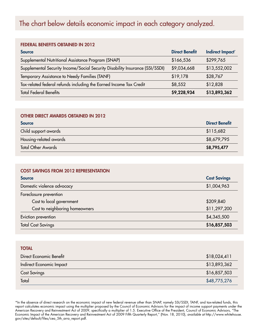# The chart below details economic impact in each category analyzed.

#### Federal Benefits Obtained in 2012

| <b>Source</b>                                                                | <b>Direct Benefit</b> | Indirect Impact* |
|------------------------------------------------------------------------------|-----------------------|------------------|
| Supplemental Nutritional Assistance Program (SNAP)                           | \$166,536             | \$299,765        |
| Supplemental Security Income/Social Security Disability Insurance (SSI/SSDI) | \$9,034,668           | \$13,552,002     |
| Temporary Assistance to Needy Families (TANF)                                | \$19,178              | \$28,767         |
| Tax-related federal refunds including the Earned Income Tax Credit           | \$8,552               | \$12,828         |
| <b>Total Federal Benefits</b>                                                | \$9,228,934           | \$13,893,362     |

#### Other Direct Awards Obtained in 2012

| <b>Source</b>             | <b>Direct Benefit</b> |
|---------------------------|-----------------------|
| Child support awards      | \$115,682             |
| Housing-related awards    | \$8,679,795           |
| <b>Total Other Awards</b> | \$8,795,477           |

#### Cost Savings from 2012 Representation

| <b>Source</b>                  | <b>Cost Savings</b> |
|--------------------------------|---------------------|
| Domestic violence advocacy     | \$1,004,963         |
| Foreclosure prevention         |                     |
| Cost to local government       | \$209,840           |
| Cost to neighboring homeowners | \$11,297,200        |
| Eviction prevention            | \$4,345,500         |
| <b>Total Cost Savings</b>      | \$16,857,503        |

| <b>TOTAL</b>             |              |
|--------------------------|--------------|
| Direct Economic Benefit  | \$18,024,411 |
| Indirect Economic Impact | \$13,893,362 |
| <b>Cost Savings</b>      | \$16,857,503 |
| Total                    | \$48,775,276 |

\*In the absence of direct research on the economic impact of new federal revenue other than SNAP, namely SSI/SSDI, TANF, and tax-related funds, this report calculates economic impact using the multiplier proposed by the Council of Economic Advisors for the impact of income support payments under the American Recovery and Reinvestment Act of 2009, specifically a multiplier of 1.5. Executive Office of the President, Council of Economic Advisors, "The Economic Impact of the American Recovery and Reinvestment Act of 2009 Fifth Quarterly Report," (Nov. 18, 2010), *available at* http://www.whitehouse. gov/sites/default/files/cea\_5th\_arra\_report.pdf.